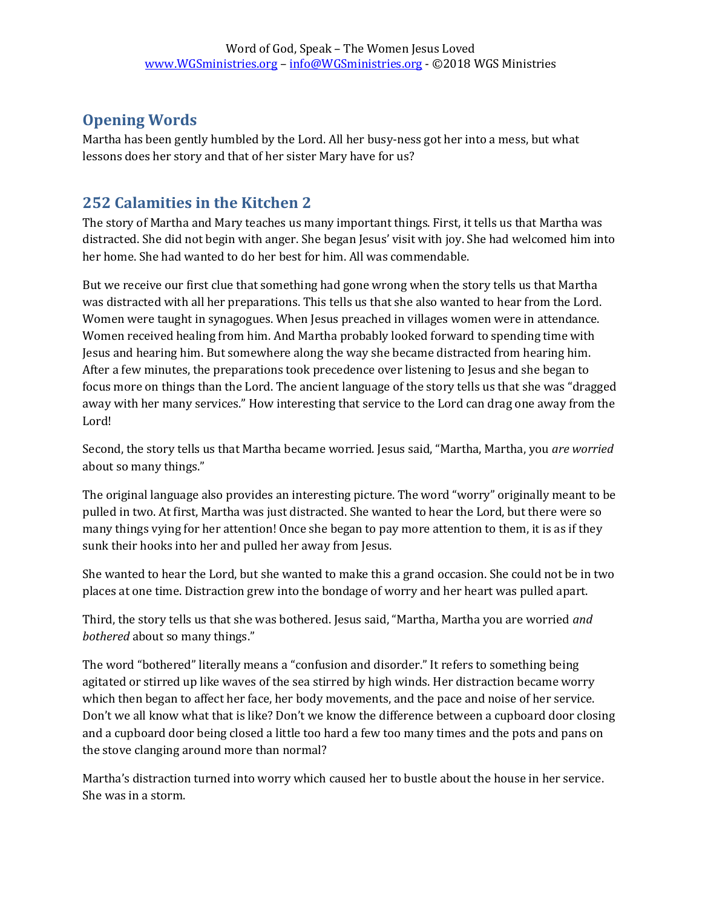## **Opening Words**

Martha has been gently humbled by the Lord. All her busy-ness got her into a mess, but what lessons does her story and that of her sister Mary have for us?

## **252 Calamities in the Kitchen 2**

The story of Martha and Mary teaches us many important things. First, it tells us that Martha was distracted. She did not begin with anger. She began Jesus' visit with joy. She had welcomed him into her home. She had wanted to do her best for him. All was commendable.

But we receive our first clue that something had gone wrong when the story tells us that Martha was distracted with all her preparations. This tells us that she also wanted to hear from the Lord. Women were taught in synagogues. When Jesus preached in villages women were in attendance. Women received healing from him. And Martha probably looked forward to spending time with Jesus and hearing him. But somewhere along the way she became distracted from hearing him. After a few minutes, the preparations took precedence over listening to Jesus and she began to focus more on things than the Lord. The ancient language of the story tells us that she was "dragged away with her many services." How interesting that service to the Lord can drag one away from the Lord!

Second, the story tells us that Martha became worried. Jesus said, "Martha, Martha, you *are worried* about so many things."

The original language also provides an interesting picture. The word "worry" originally meant to be pulled in two. At first, Martha was just distracted. She wanted to hear the Lord, but there were so many things vying for her attention! Once she began to pay more attention to them, it is as if they sunk their hooks into her and pulled her away from Jesus.

She wanted to hear the Lord, but she wanted to make this a grand occasion. She could not be in two places at one time. Distraction grew into the bondage of worry and her heart was pulled apart.

Third, the story tells us that she was bothered. Jesus said, "Martha, Martha you are worried *and bothered* about so many things."

The word "bothered" literally means a "confusion and disorder." It refers to something being agitated or stirred up like waves of the sea stirred by high winds. Her distraction became worry which then began to affect her face, her body movements, and the pace and noise of her service. Don't we all know what that is like? Don't we know the difference between a cupboard door closing and a cupboard door being closed a little too hard a few too many times and the pots and pans on the stove clanging around more than normal?

Martha's distraction turned into worry which caused her to bustle about the house in her service. She was in a storm.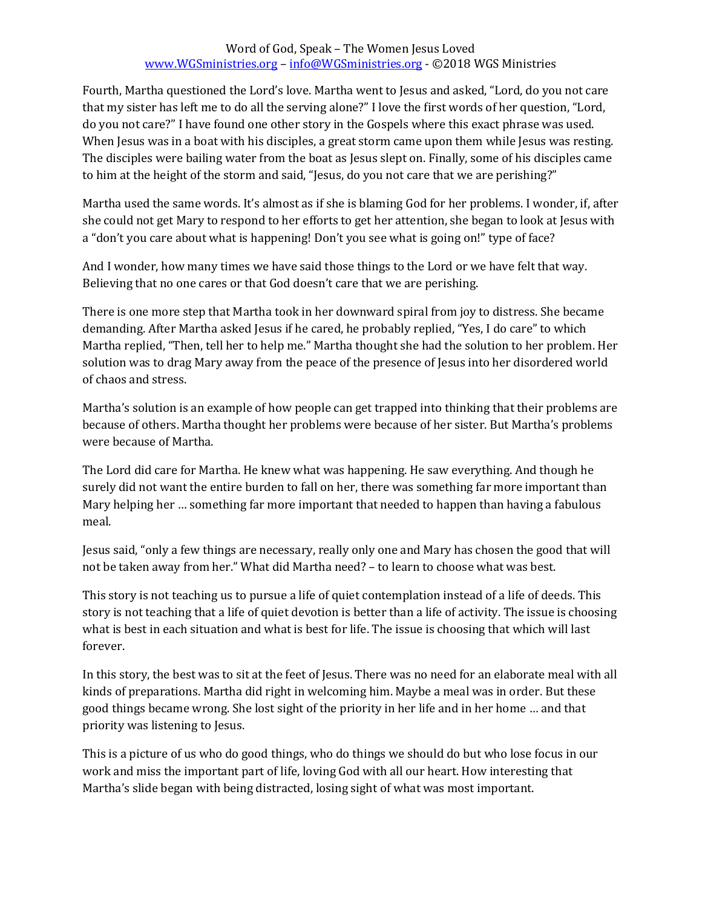## Word of God, Speak – The Women Jesus Loved [www.WGSministries.org](http://www.wgsministries.org/) – [info@WGSministries.org](mailto:info@WGSministries.org) - ©2018 WGS Ministries

Fourth, Martha questioned the Lord's love. Martha went to Jesus and asked, "Lord, do you not care that my sister has left me to do all the serving alone?" I love the first words of her question, "Lord, do you not care?" I have found one other story in the Gospels where this exact phrase was used. When Jesus was in a boat with his disciples, a great storm came upon them while Jesus was resting. The disciples were bailing water from the boat as Jesus slept on. Finally, some of his disciples came to him at the height of the storm and said, "Jesus, do you not care that we are perishing?"

Martha used the same words. It's almost as if she is blaming God for her problems. I wonder, if, after she could not get Mary to respond to her efforts to get her attention, she began to look at Jesus with a "don't you care about what is happening! Don't you see what is going on!" type of face?

And I wonder, how many times we have said those things to the Lord or we have felt that way. Believing that no one cares or that God doesn't care that we are perishing.

There is one more step that Martha took in her downward spiral from joy to distress. She became demanding. After Martha asked Jesus if he cared, he probably replied, "Yes, I do care" to which Martha replied, "Then, tell her to help me." Martha thought she had the solution to her problem. Her solution was to drag Mary away from the peace of the presence of Jesus into her disordered world of chaos and stress.

Martha's solution is an example of how people can get trapped into thinking that their problems are because of others. Martha thought her problems were because of her sister. But Martha's problems were because of Martha.

The Lord did care for Martha. He knew what was happening. He saw everything. And though he surely did not want the entire burden to fall on her, there was something far more important than Mary helping her … something far more important that needed to happen than having a fabulous meal.

Jesus said, "only a few things are necessary, really only one and Mary has chosen the good that will not be taken away from her." What did Martha need? – to learn to choose what was best.

This story is not teaching us to pursue a life of quiet contemplation instead of a life of deeds. This story is not teaching that a life of quiet devotion is better than a life of activity. The issue is choosing what is best in each situation and what is best for life. The issue is choosing that which will last forever.

In this story, the best was to sit at the feet of Jesus. There was no need for an elaborate meal with all kinds of preparations. Martha did right in welcoming him. Maybe a meal was in order. But these good things became wrong. She lost sight of the priority in her life and in her home … and that priority was listening to Jesus.

This is a picture of us who do good things, who do things we should do but who lose focus in our work and miss the important part of life, loving God with all our heart. How interesting that Martha's slide began with being distracted, losing sight of what was most important.